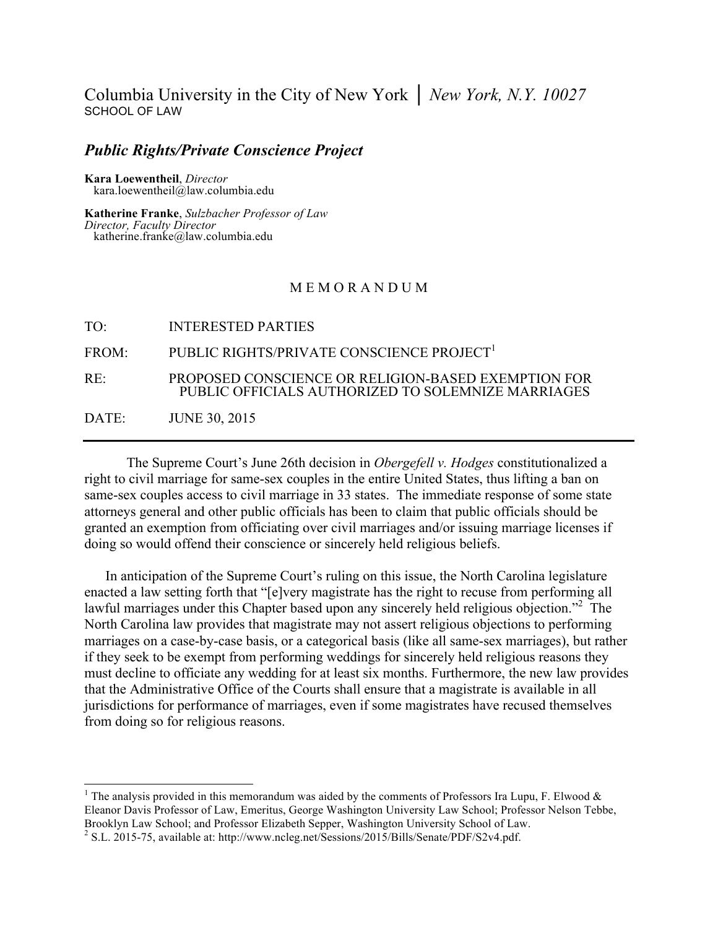## Columbia University in the City of New York │ *New York, N.Y. 10027* SCHOOL OF LAW

# *Public Rights/Private Conscience Project* **Kara Loewentheil**, *Director* kara.loewentheil@law.columbia.edu

**Katherine Franke**, *Sulzbacher Professor of Law*<br>*Director, Faculty Director Director, Faculty Director* katherine.franke@law.columbia.edu

#### M E M O R A N D U M

| TO <sup>.</sup> | <b>INTERESTED PARTIES</b>                                                                                 |
|-----------------|-----------------------------------------------------------------------------------------------------------|
| FROM:           | PUBLIC RIGHTS/PRIVATE CONSCIENCE PROJECT <sup>1</sup>                                                     |
| RE:             | PROPOSED CONSCIENCE OR RELIGION-BASED EXEMPTION FOR<br>PUBLIC OFFICIALS AUTHORIZED TO SOLEMNIZE MARRIAGES |
| DATE:           | <b>JUNE 30, 2015</b>                                                                                      |

The Supreme Court's June 26th decision in *Obergefell v. Hodges* constitutionalized a right to civil marriage for same-sex couples in the entire United States, thus lifting a ban on same-sex couples access to civil marriage in 33 states. The immediate response of some state attorneys general and other public officials has been to claim that public officials should be granted an exemption from officiating over civil marriages and/or issuing marriage licenses if doing so would offend their conscience or sincerely held religious beliefs.

In anticipation of the Supreme Court's ruling on this issue, the North Carolina legislature enacted a law setting forth that "[e]very magistrate has the right to recuse from performing all lawful marriages under this Chapter based upon any sincerely held religious objection."<sup>2</sup> The North Carolina law provides that magistrate may not assert religious objections to performing marriages on a case-by-case basis, or a categorical basis (like all same-sex marriages), but rather if they seek to be exempt from performing weddings for sincerely held religious reasons they must decline to officiate any wedding for at least six months. Furthermore, the new law provides that the Administrative Office of the Courts shall ensure that a magistrate is available in all jurisdictions for performance of marriages, even if some magistrates have recused themselves from doing so for religious reasons.

<sup>&</sup>lt;sup>1</sup> The analysis provided in this memorandum was aided by the comments of Professors Ira Lupu, F. Elwood  $\&$ Eleanor Davis Professor of Law, Emeritus, George Washington University Law School; Professor Nelson Tebbe, Brooklyn Law School; and Professor Elizabeth Sepper, Washington University School of Law. 2 S.L. 2015-75, available at: http://www.ncleg.net/Sessions/2015/Bills/Senate/PDF/S2v4.pdf.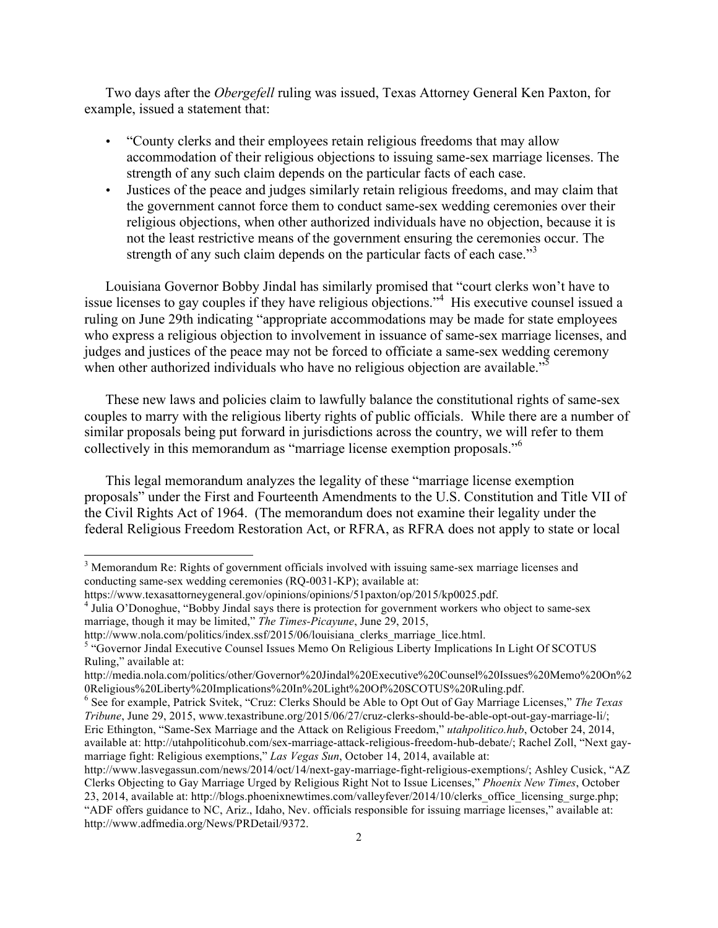Two days after the *Obergefell* ruling was issued, Texas Attorney General Ken Paxton, for example, issued a statement that:

- "County clerks and their employees retain religious freedoms that may allow accommodation of their religious objections to issuing same-sex marriage licenses. The strength of any such claim depends on the particular facts of each case.
- Justices of the peace and judges similarly retain religious freedoms, and may claim that the government cannot force them to conduct same-sex wedding ceremonies over their religious objections, when other authorized individuals have no objection, because it is not the least restrictive means of the government ensuring the ceremonies occur. The strength of any such claim depends on the particular facts of each case."<sup>3</sup>

Louisiana Governor Bobby Jindal has similarly promised that "court clerks won't have to issue licenses to gay couples if they have religious objections."<sup>4</sup> His executive counsel issued a ruling on June 29th indicating "appropriate accommodations may be made for state employees who express a religious objection to involvement in issuance of same-sex marriage licenses, and judges and justices of the peace may not be forced to officiate a same-sex wedding ceremony when other authorized individuals who have no religious objection are available.<sup>35</sup>

These new laws and policies claim to lawfully balance the constitutional rights of same-sex couples to marry with the religious liberty rights of public officials. While there are a number of similar proposals being put forward in jurisdictions across the country, we will refer to them collectively in this memorandum as "marriage license exemption proposals."<sup>6</sup>

This legal memorandum analyzes the legality of these "marriage license exemption proposals" under the First and Fourteenth Amendments to the U.S. Constitution and Title VII of the Civil Rights Act of 1964. (The memorandum does not examine their legality under the federal Religious Freedom Restoration Act, or RFRA, as RFRA does not apply to state or local

<sup>&</sup>lt;sup>3</sup> Memorandum Re: Rights of government officials involved with issuing same-sex marriage licenses and conducting same-sex wedding ceremonies (RQ-0031-KP); available at:

https://www.texasattorneygeneral.gov/opinions/opinions/51paxton/op/2015/kp0025.pdf. <sup>4</sup> Julia O'Donoghue, "Bobby Jindal says there is protection for government workers who object to same-sex marriage, though it may be limited," *The Times-Picayune*, June 29, 2015,

http://www.nola.com/politics/index.ssf/2015/06/louisiana\_clerks\_marriage\_lice.html.<br><sup>5</sup> "Governor Jindal Executive Counsel Issues Memo On Religious Liberty Implications In Light Of SCOTUS Ruling," available at:

http://media.nola.com/politics/other/Governor%20Jindal%20Executive%20Counsel%20Issues%20Memo%20On%2 0Religious%20Liberty%20Implications%20In%20Light%20Of%20SCOTUS%20Ruling.pdf. <sup>6</sup> See for example, Patrick Svitek, "Cruz: Clerks Should be Able to Opt Out of Gay Marriage Licenses," *The Texas* 

*Tribune*, June 29, 2015, www.texastribune.org/2015/06/27/cruz-clerks-should-be-able-opt-out-gay-marriage-li/; Eric Ethington, "Same-Sex Marriage and the Attack on Religious Freedom," *utahpolitico.hub*, October 24, 2014, available at: http://utahpoliticohub.com/sex-marriage-attack-religious-freedom-hub-debate/; Rachel Zoll, "Next gaymarriage fight: Religious exemptions," *Las Vegas Sun*, October 14, 2014, available at:

http://www.lasvegassun.com/news/2014/oct/14/next-gay-marriage-fight-religious-exemptions/; Ashley Cusick, "AZ Clerks Objecting to Gay Marriage Urged by Religious Right Not to Issue Licenses," *Phoenix New Times*, October 23, 2014, available at: http://blogs.phoenixnewtimes.com/valleyfever/2014/10/clerks\_office\_licensing\_surge.php; "ADF offers guidance to NC, Ariz., Idaho, Nev. officials responsible for issuing marriage licenses," available at: http://www.adfmedia.org/News/PRDetail/9372.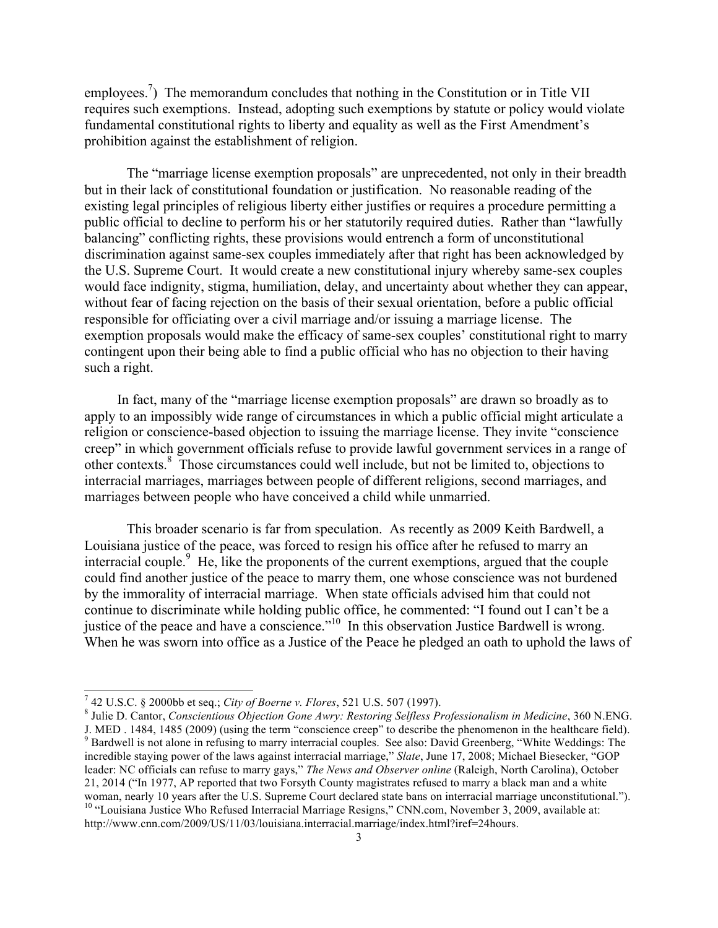employees.<sup>7</sup>) The memorandum concludes that nothing in the Constitution or in Title VII requires such exemptions. Instead, adopting such exemptions by statute or policy would violate fundamental constitutional rights to liberty and equality as well as the First Amendment's prohibition against the establishment of religion.

The "marriage license exemption proposals" are unprecedented, not only in their breadth but in their lack of constitutional foundation or justification. No reasonable reading of the existing legal principles of religious liberty either justifies or requires a procedure permitting a public official to decline to perform his or her statutorily required duties. Rather than "lawfully balancing" conflicting rights, these provisions would entrench a form of unconstitutional discrimination against same-sex couples immediately after that right has been acknowledged by the U.S. Supreme Court. It would create a new constitutional injury whereby same-sex couples would face indignity, stigma, humiliation, delay, and uncertainty about whether they can appear, without fear of facing rejection on the basis of their sexual orientation, before a public official responsible for officiating over a civil marriage and/or issuing a marriage license. The exemption proposals would make the efficacy of same-sex couples' constitutional right to marry contingent upon their being able to find a public official who has no objection to their having such a right.

In fact, many of the "marriage license exemption proposals" are drawn so broadly as to apply to an impossibly wide range of circumstances in which a public official might articulate a religion or conscience-based objection to issuing the marriage license. They invite "conscience creep" in which government officials refuse to provide lawful government services in a range of other contexts.8 Those circumstances could well include, but not be limited to, objections to interracial marriages, marriages between people of different religions, second marriages, and marriages between people who have conceived a child while unmarried.

This broader scenario is far from speculation. As recently as 2009 Keith Bardwell, a Louisiana justice of the peace, was forced to resign his office after he refused to marry an interracial couple.<sup>9</sup> He, like the proponents of the current exemptions, argued that the couple could find another justice of the peace to marry them, one whose conscience was not burdened by the immorality of interracial marriage. When state officials advised him that could not continue to discriminate while holding public office, he commented: "I found out I can't be a justice of the peace and have a conscience."<sup>10</sup> In this observation Justice Bardwell is wrong. When he was sworn into office as a Justice of the Peace he pledged an oath to uphold the laws of

<sup>&</sup>lt;sup>7</sup> 42 U.S.C. § 2000bb et seq.; *City of Boerne v. Flores*, 521 U.S. 507 (1997).<br><sup>8</sup> Julie D. Cantor, *Conscientious Objection Gone Awry: Restoring Selfless Professionalism in Medicine*, 360 N.ENG.<br>J. MED . 1484, 1485 (200 <sup>9</sup> Bardwell is not alone in refusing to marry interracial couples. See also: David Greenberg, "White Weddings: The incredible staying power of the laws against interracial marriage," *Slate*, June 17, 2008; Michael Biesecker, "GOP leader: NC officials can refuse to marry gays," *The News and Observer online* (Raleigh, North Carolina), October 21, 2014 ("In 1977, AP reported that two Forsyth County magistrates refused to marry a black man and a white woman, nearly 10 years after the U.S. Supreme Court declared state bans on interracial marriage unconstitutional."). <sup>10</sup> "Louisiana Justice Who Refused Interracial Marriage Resigns," CNN.com, November 3, 2009, available at: http://www.cnn.com/2009/US/11/03/louisiana.interracial.marriage/index.html?iref=24hours.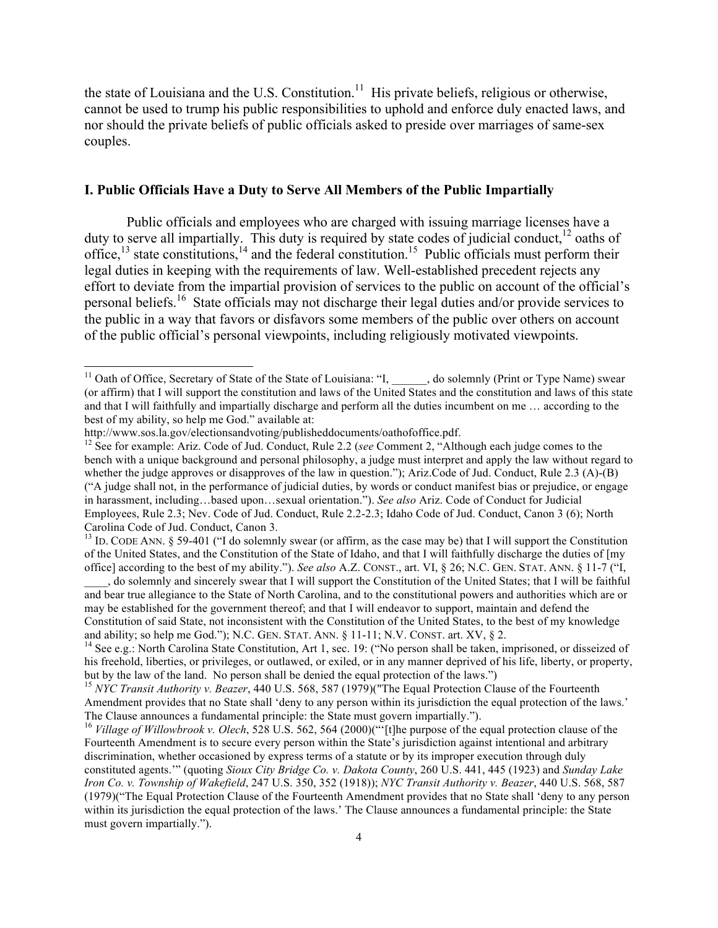the state of Louisiana and the U.S. Constitution.<sup>11</sup> His private beliefs, religious or otherwise, cannot be used to trump his public responsibilities to uphold and enforce duly enacted laws, and nor should the private beliefs of public officials asked to preside over marriages of same-sex couples.

#### **I. Public Officials Have a Duty to Serve All Members of the Public Impartially**

Public officials and employees who are charged with issuing marriage licenses have a duty to serve all impartially. This duty is required by state codes of judicial conduct,<sup>12</sup> oaths of office,  $^{13}$  state constitutions,  $^{14}$  and the federal constitution. <sup>15</sup> Public officials must perform their legal duties in keeping with the requirements of law. Well-established precedent rejects any effort to deviate from the impartial provision of services to the public on account of the official's personal beliefs.<sup>16</sup> State officials may not discharge their legal duties and/or provide services to the public in a way that favors or disfavors some members of the public over others on account of the public official's personal viewpoints, including religiously motivated viewpoints.

<sup>&</sup>lt;sup>11</sup> Oath of Office, Secretary of State of the State of Louisiana: "I, \_\_\_\_\_, do solemnly (Print or Type Name) swear (or affirm) that I will support the constitution and laws of the United States and the constitution and laws of this state and that I will faithfully and impartially discharge and perform all the duties incumbent on me … according to the best of my ability, so help me God." available at:<br>http://www.sos.la.gov/electionsandvoting/publisheddocuments/oathofoffice.pdf.

<sup>&</sup>lt;sup>12</sup> See for example: Ariz. Code of Jud. Conduct, Rule 2.2 (*see* Comment 2, "Although each judge comes to the bench with a unique background and personal philosophy, a judge must interpret and apply the law without regard to whether the judge approves or disapproves of the law in question."); Ariz.Code of Jud. Conduct, Rule 2.3 (A)-(B) ("A judge shall not, in the performance of judicial duties, by words or conduct manifest bias or prejudice, or engage in harassment, including…based upon…sexual orientation."). *See also* Ariz. Code of Conduct for Judicial Employees, Rule 2.3; Nev. Code of Jud. Conduct, Rule 2.2-2.3; Idaho Code of Jud. Conduct, Canon 3 (6); North Carolina Code of Jud. Conduct, Canon 3.

 $13$  ID. CODE ANN. § 59-401 ("I do solemnly swear (or affirm, as the case may be) that I will support the Constitution of the United States, and the Constitution of the State of Idaho, and that I will faithfully discharge the duties of [my office] according to the best of my ability."). *See also* A.Z. CONST., art. VI, § 26; N.C. GEN. STAT. ANN. § 11-7 ("I,

\_\_\_\_, do solemnly and sincerely swear that I will support the Constitution of the United States; that I will be faithful and bear true allegiance to the State of North Carolina, and to the constitutional powers and authorities which are or may be established for the government thereof; and that I will endeavor to support, maintain and defend the Constitution of said State, not inconsistent with the Constitution of the United States, to the best of my knowledge and ability; so help me God."); N.C. GEN. STAT. ANN. § 11-11; N.V. CONST. art. XV, § 2.<br><sup>14</sup> See e.g.: North Carolina State Constitution, Art 1, sec. 19: ("No person shall be taken, imprisoned, or disseized of

his freehold, liberties, or privileges, or outlawed, or exiled, or in any manner deprived of his life, liberty, or property, but by the law of the land. No person shall be denied the equal protection of the laws.") <sup>15</sup> *NYC Transit Authority v. Beazer*, 440 U.S. 568, 587 (1979)("The Equal Protection Clause of the Fourteenth

Amendment provides that no State shall 'deny to any person within its jurisdiction the equal protection of the laws.'<br>The Clause announces a fundamental principle: the State must govern impartially.").

<sup>&</sup>lt;sup>16</sup> Village of Willowbrook v. Olech, 528 U.S. 562, 564 (2000)("<sup>[t]</sup>[t]he purpose of the equal protection clause of the Fourteenth Amendment is to secure every person within the State's jurisdiction against intentional and arbitrary discrimination, whether occasioned by express terms of a statute or by its improper execution through duly constituted agents.'" (quoting *Sioux City Bridge Co. v. Dakota County*, 260 U.S. 441, 445 (1923) and *Sunday Lake Iron Co. v. Township of Wakefield*, 247 U.S. 350, 352 (1918)); *NYC Transit Authority v. Beazer*, 440 U.S. 568, 587 (1979)("The Equal Protection Clause of the Fourteenth Amendment provides that no State shall 'deny to any person within its jurisdiction the equal protection of the laws.' The Clause announces a fundamental principle: the State must govern impartially.").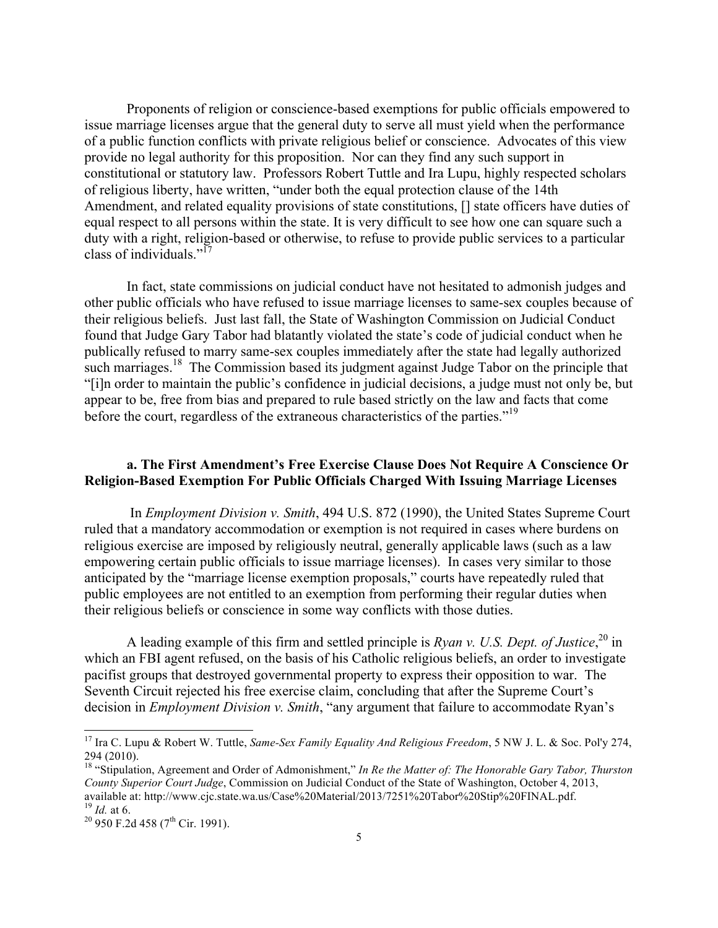Proponents of religion or conscience-based exemptions for public officials empowered to issue marriage licenses argue that the general duty to serve all must yield when the performance of a public function conflicts with private religious belief or conscience. Advocates of this view provide no legal authority for this proposition. Nor can they find any such support in constitutional or statutory law. Professors Robert Tuttle and Ira Lupu, highly respected scholars of religious liberty, have written, "under both the equal protection clause of the 14th Amendment, and related equality provisions of state constitutions, [] state officers have duties of equal respect to all persons within the state. It is very difficult to see how one can square such a duty with a right, religion-based or otherwise, to refuse to provide public services to a particular class of individuals."<sup>17</sup>

In fact, state commissions on judicial conduct have not hesitated to admonish judges and other public officials who have refused to issue marriage licenses to same-sex couples because of their religious beliefs. Just last fall, the State of Washington Commission on Judicial Conduct found that Judge Gary Tabor had blatantly violated the state's code of judicial conduct when he publically refused to marry same-sex couples immediately after the state had legally authorized such marriages.<sup>18</sup> The Commission based its judgment against Judge Tabor on the principle that "[i]n order to maintain the public's confidence in judicial decisions, a judge must not only be, but appear to be, free from bias and prepared to rule based strictly on the law and facts that come before the court, regardless of the extraneous characteristics of the parties."<sup>19</sup>

### **a. The First Amendment's Free Exercise Clause Does Not Require A Conscience Or Religion-Based Exemption For Public Officials Charged With Issuing Marriage Licenses**

In *Employment Division v. Smith*, 494 U.S. 872 (1990), the United States Supreme Court ruled that a mandatory accommodation or exemption is not required in cases where burdens on religious exercise are imposed by religiously neutral, generally applicable laws (such as a law empowering certain public officials to issue marriage licenses). In cases very similar to those anticipated by the "marriage license exemption proposals," courts have repeatedly ruled that public employees are not entitled to an exemption from performing their regular duties when their religious beliefs or conscience in some way conflicts with those duties.

A leading example of this firm and settled principle is *Ryan v. U.S. Dept. of Justice*, <sup>20</sup> in which an FBI agent refused, on the basis of his Catholic religious beliefs, an order to investigate pacifist groups that destroyed governmental property to express their opposition to war. The Seventh Circuit rejected his free exercise claim, concluding that after the Supreme Court's decision in *Employment Division v. Smith*, "any argument that failure to accommodate Ryan's

 <sup>17</sup> Ira C. Lupu & Robert W. Tuttle, *Same-Sex Family Equality And Religious Freedom*, 5 NW J. L. & Soc. Pol'y 274, 294 (2010).

<sup>18</sup> "Stipulation, Agreement and Order of Admonishment," *In Re the Matter of: The Honorable Gary Tabor, Thurston County Superior Court Judge*, Commission on Judicial Conduct of the State of Washington, October 4, 2013, available at: http://www.cjc.state.wa.us/Case%20Material/2013/7251%20Tabor%20Stip%20FINAL.pdf. <sup>19</sup> *Id.* at 6.<br><sup>19</sup> *Id.* at 6.<br><sup>20</sup> 950 F.2d 458 (7<sup>th</sup> Cir. 1991).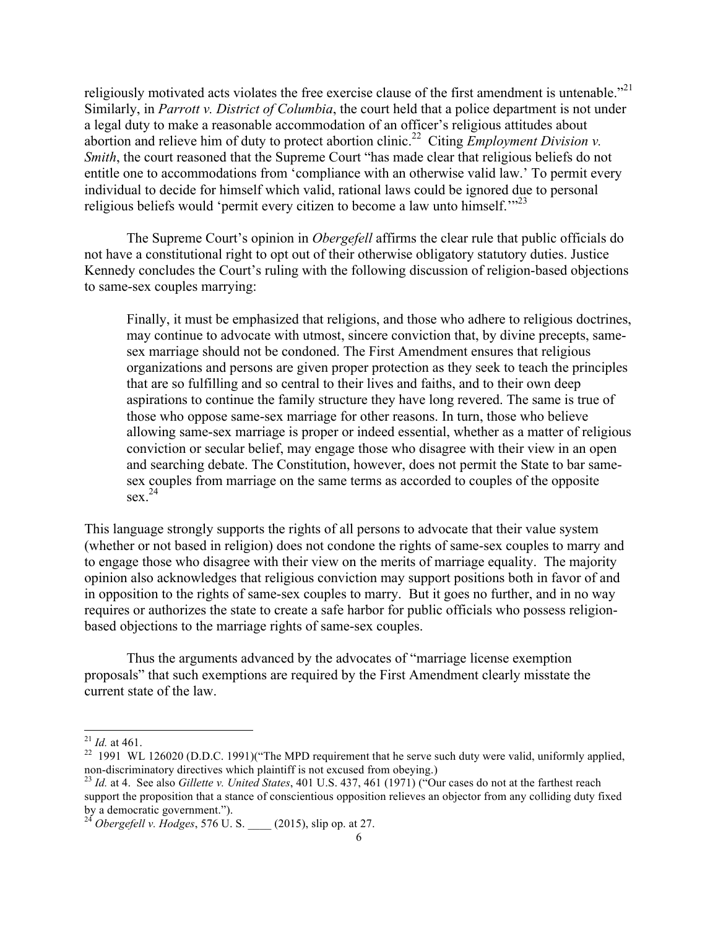religiously motivated acts violates the free exercise clause of the first amendment is untenable."<sup>21</sup> Similarly, in *Parrott v. District of Columbia*, the court held that a police department is not under a legal duty to make a reasonable accommodation of an officer's religious attitudes about abortion and relieve him of duty to protect abortion clinic. 22 Citing *Employment Division v. Smith*, the court reasoned that the Supreme Court "has made clear that religious beliefs do not entitle one to accommodations from 'compliance with an otherwise valid law.' To permit every individual to decide for himself which valid, rational laws could be ignored due to personal religious beliefs would 'permit every citizen to become a law unto himself.'"<sup>23</sup>

The Supreme Court's opinion in *Obergefell* affirms the clear rule that public officials do not have a constitutional right to opt out of their otherwise obligatory statutory duties. Justice Kennedy concludes the Court's ruling with the following discussion of religion-based objections to same-sex couples marrying:

Finally, it must be emphasized that religions, and those who adhere to religious doctrines, may continue to advocate with utmost, sincere conviction that, by divine precepts, samesex marriage should not be condoned. The First Amendment ensures that religious organizations and persons are given proper protection as they seek to teach the principles that are so fulfilling and so central to their lives and faiths, and to their own deep aspirations to continue the family structure they have long revered. The same is true of those who oppose same-sex marriage for other reasons. In turn, those who believe allowing same-sex marriage is proper or indeed essential, whether as a matter of religious conviction or secular belief, may engage those who disagree with their view in an open and searching debate. The Constitution, however, does not permit the State to bar samesex couples from marriage on the same terms as accorded to couples of the opposite  $\sec^{24}$ 

This language strongly supports the rights of all persons to advocate that their value system (whether or not based in religion) does not condone the rights of same-sex couples to marry and to engage those who disagree with their view on the merits of marriage equality. The majority opinion also acknowledges that religious conviction may support positions both in favor of and in opposition to the rights of same-sex couples to marry. But it goes no further, and in no way requires or authorizes the state to create a safe harbor for public officials who possess religionbased objections to the marriage rights of same-sex couples.

Thus the arguments advanced by the advocates of "marriage license exemption proposals" that such exemptions are required by the First Amendment clearly misstate the current state of the law.

<sup>&</sup>lt;sup>21</sup> *Id.* at 461.<br><sup>22</sup> 1991 WL 126020 (D.D.C. 1991)("The MPD requirement that he serve such duty were valid, uniformly applied, non-discriminatory directives which plaintiff is not excused from obeying.)

<sup>&</sup>lt;sup>23</sup> *Id.* at 4. See also *Gillette v. United States*, 401 U.S. 437, 461 (1971) ("Our cases do not at the farthest reach support the proposition that a stance of conscientious opposition relieves an objector from any colliding duty fixed by a democratic government.").

<sup>&</sup>lt;sup>24</sup> *Obergefell v. Hodges*, 576 U. S. (2015), slip op. at 27.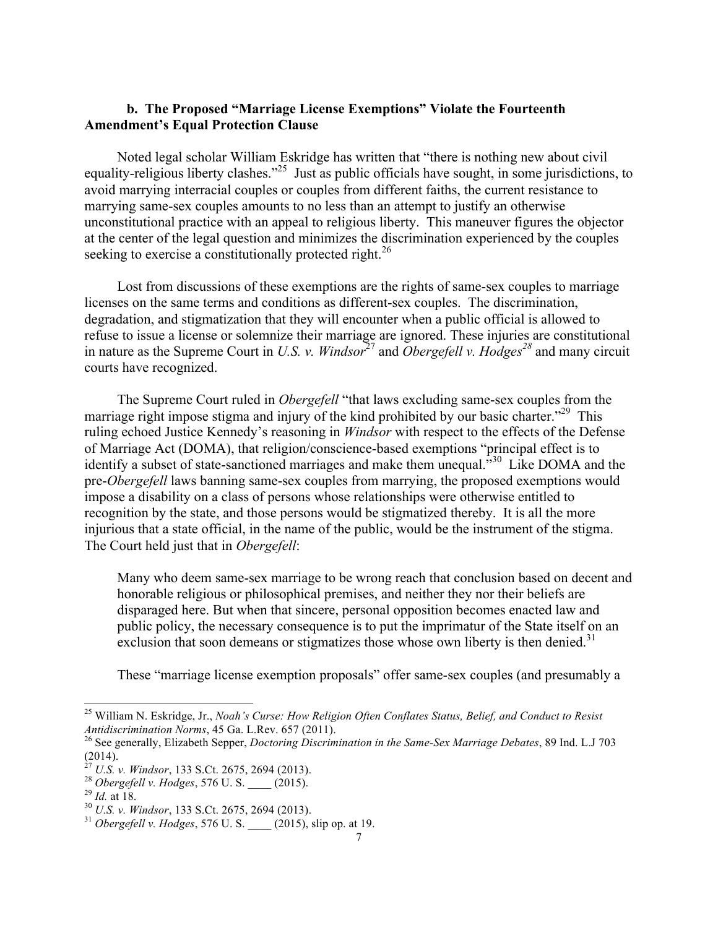### **b. The Proposed "Marriage License Exemptions" Violate the Fourteenth Amendment's Equal Protection Clause**

Noted legal scholar William Eskridge has written that "there is nothing new about civil equality-religious liberty clashes."<sup>25</sup> Just as public officials have sought, in some jurisdictions, to avoid marrying interracial couples or couples from different faiths, the current resistance to marrying same-sex couples amounts to no less than an attempt to justify an otherwise unconstitutional practice with an appeal to religious liberty. This maneuver figures the objector at the center of the legal question and minimizes the discrimination experienced by the couples seeking to exercise a constitutionally protected right.<sup>26</sup>

Lost from discussions of these exemptions are the rights of same-sex couples to marriage licenses on the same terms and conditions as different-sex couples. The discrimination, degradation, and stigmatization that they will encounter when a public official is allowed to refuse to issue a license or solemnize their marriage are ignored. These injuries are constitutional in nature as the Supreme Court in *U.S. v. Windsor*<sup>27</sup> and *Obergefell v. Hodges*<sup>28</sup> and many circuit courts have recognized.

The Supreme Court ruled in *Obergefell* "that laws excluding same-sex couples from the marriage right impose stigma and injury of the kind prohibited by our basic charter."<sup>29</sup> This ruling echoed Justice Kennedy's reasoning in *Windsor* with respect to the effects of the Defense of Marriage Act (DOMA), that religion/conscience-based exemptions "principal effect is to identify a subset of state-sanctioned marriages and make them unequal.<sup>530</sup> Like DOMA and the pre-*Obergefell* laws banning same-sex couples from marrying, the proposed exemptions would impose a disability on a class of persons whose relationships were otherwise entitled to recognition by the state, and those persons would be stigmatized thereby. It is all the more injurious that a state official, in the name of the public, would be the instrument of the stigma. The Court held just that in *Obergefell*:

Many who deem same-sex marriage to be wrong reach that conclusion based on decent and honorable religious or philosophical premises, and neither they nor their beliefs are disparaged here. But when that sincere, personal opposition becomes enacted law and public policy, the necessary consequence is to put the imprimatur of the State itself on an exclusion that soon demeans or stigmatizes those whose own liberty is then denied.<sup>31</sup>

These "marriage license exemption proposals" offer same-sex couples (and presumably a

<sup>&</sup>lt;sup>25</sup> William N. Eskridge, Jr., *Noah's Curse: How Religion Often Conflates Status, Belief, and Conduct to Resist Antidiscrimination Norms, 45 Ga. L.Rev. 657 (2011).* 

<sup>&</sup>lt;sup>26</sup> See generally, Elizabeth Sepper, *Doctoring Discrimination in the Same-Sex Marriage Debates*, 89 Ind. L.J 703 (2014).<br> $^{27}$  U.S. v. Windsor, 133 S.Ct. 2675, 2694 (2013).

<sup>&</sup>lt;sup>28</sup> Obergefell v. Hodges, 576 U. S. (2015).<br>
<sup>29</sup> Id. at 18.<br>
<sup>30</sup> U.S. v. Windsor, 133 S.Ct. 2675, 2694 (2013).<br>
<sup>31</sup> Obergefell v. Hodges, 576 U. S. (2015), slip op. at 19.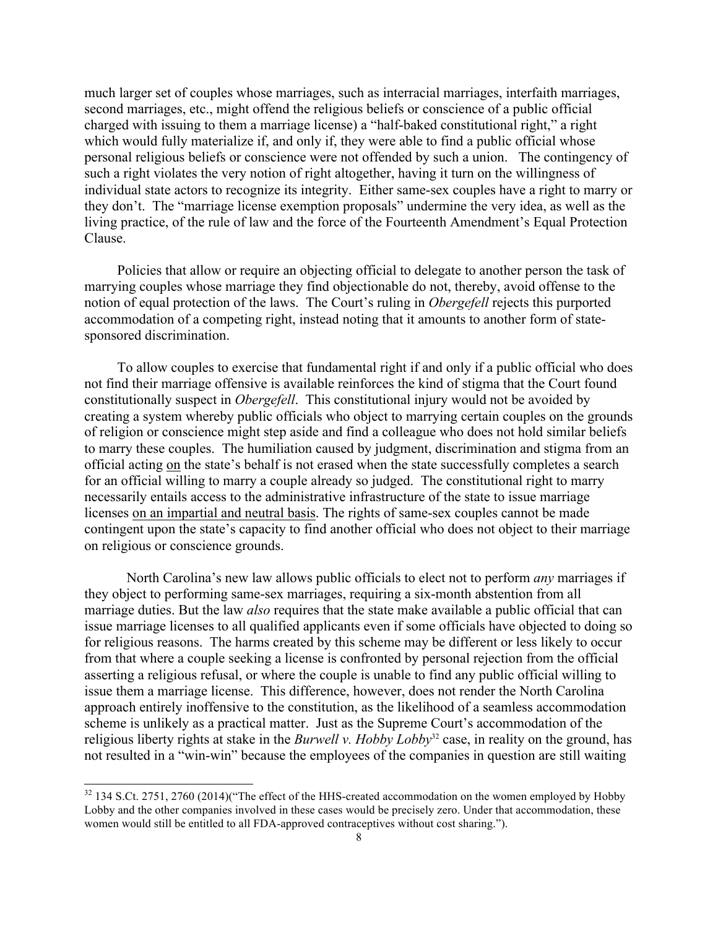much larger set of couples whose marriages, such as interracial marriages, interfaith marriages, second marriages, etc., might offend the religious beliefs or conscience of a public official charged with issuing to them a marriage license) a "half-baked constitutional right," a right which would fully materialize if, and only if, they were able to find a public official whose personal religious beliefs or conscience were not offended by such a union. The contingency of such a right violates the very notion of right altogether, having it turn on the willingness of individual state actors to recognize its integrity. Either same-sex couples have a right to marry or they don't. The "marriage license exemption proposals" undermine the very idea, as well as the living practice, of the rule of law and the force of the Fourteenth Amendment's Equal Protection Clause.

Policies that allow or require an objecting official to delegate to another person the task of marrying couples whose marriage they find objectionable do not, thereby, avoid offense to the notion of equal protection of the laws. The Court's ruling in *Obergefell* rejects this purported accommodation of a competing right, instead noting that it amounts to another form of statesponsored discrimination.

To allow couples to exercise that fundamental right if and only if a public official who does not find their marriage offensive is available reinforces the kind of stigma that the Court found constitutionally suspect in *Obergefell*. This constitutional injury would not be avoided by creating a system whereby public officials who object to marrying certain couples on the grounds of religion or conscience might step aside and find a colleague who does not hold similar beliefs to marry these couples. The humiliation caused by judgment, discrimination and stigma from an official acting on the state's behalf is not erased when the state successfully completes a search for an official willing to marry a couple already so judged. The constitutional right to marry necessarily entails access to the administrative infrastructure of the state to issue marriage licenses on an impartial and neutral basis. The rights of same-sex couples cannot be made contingent upon the state's capacity to find another official who does not object to their marriage on religious or conscience grounds.

North Carolina's new law allows public officials to elect not to perform *any* marriages if they object to performing same-sex marriages, requiring a six-month abstention from all marriage duties. But the law *also* requires that the state make available a public official that can issue marriage licenses to all qualified applicants even if some officials have objected to doing so for religious reasons. The harms created by this scheme may be different or less likely to occur from that where a couple seeking a license is confronted by personal rejection from the official asserting a religious refusal, or where the couple is unable to find any public official willing to issue them a marriage license. This difference, however, does not render the North Carolina approach entirely inoffensive to the constitution, as the likelihood of a seamless accommodation scheme is unlikely as a practical matter. Just as the Supreme Court's accommodation of the religious liberty rights at stake in the *Burwell v. Hobby Lobby*<sup>32</sup> case, in reality on the ground, has not resulted in a "win-win" because the employees of the companies in question are still waiting

<sup>&</sup>lt;sup>32</sup> 134 S.Ct. 2751, 2760 (2014)("The effect of the HHS-created accommodation on the women employed by Hobby Lobby and the other companies involved in these cases would be precisely zero. Under that accommodation, these women would still be entitled to all FDA-approved contraceptives without cost sharing.").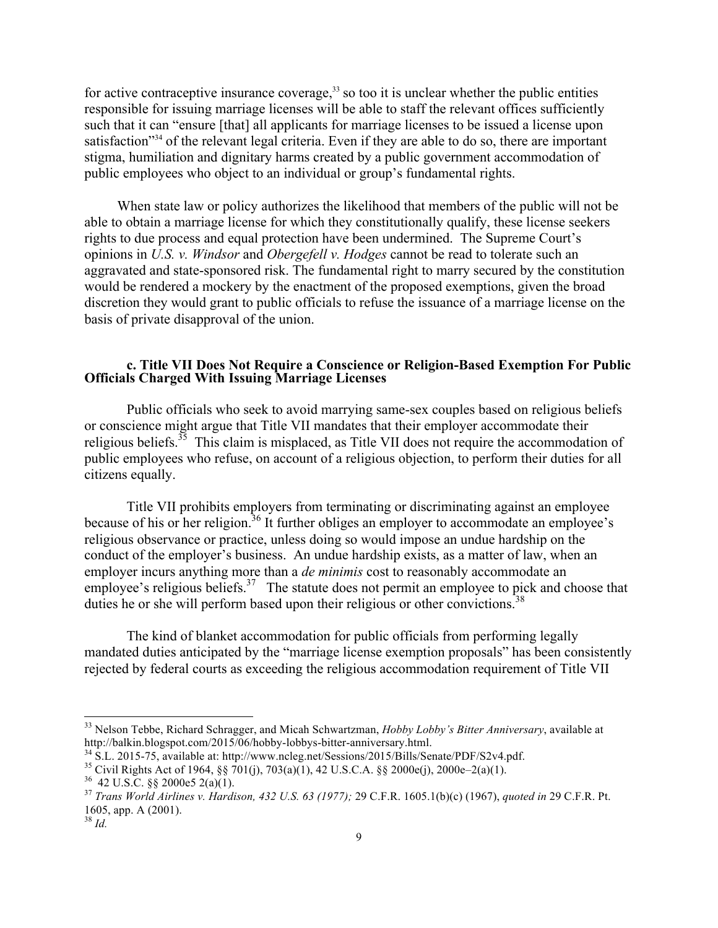for active contraceptive insurance coverage, $33$  so too it is unclear whether the public entities responsible for issuing marriage licenses will be able to staff the relevant offices sufficiently such that it can "ensure [that] all applicants for marriage licenses to be issued a license upon satisfaction<sup>334</sup> of the relevant legal criteria. Even if they are able to do so, there are important stigma, humiliation and dignitary harms created by a public government accommodation of public employees who object to an individual or group's fundamental rights.

When state law or policy authorizes the likelihood that members of the public will not be able to obtain a marriage license for which they constitutionally qualify, these license seekers rights to due process and equal protection have been undermined. The Supreme Court's opinions in *U.S. v. Windsor* and *Obergefell v. Hodges* cannot be read to tolerate such an aggravated and state-sponsored risk. The fundamental right to marry secured by the constitution would be rendered a mockery by the enactment of the proposed exemptions, given the broad discretion they would grant to public officials to refuse the issuance of a marriage license on the basis of private disapproval of the union.

#### **c. Title VII Does Not Require a Conscience or Religion-Based Exemption For Public Officials Charged With Issuing Marriage Licenses**

Public officials who seek to avoid marrying same-sex couples based on religious beliefs or conscience might argue that Title VII mandates that their employer accommodate their religious beliefs.<sup>35</sup> This claim is misplaced, as Title VII does not require the accommodation of public employees who refuse, on account of a religious objection, to perform their duties for all citizens equally.

Title VII prohibits employers from terminating or discriminating against an employee because of his or her religion.<sup>36</sup> It further obliges an employer to accommodate an employee's religious observance or practice, unless doing so would impose an undue hardship on the conduct of the employer's business. An undue hardship exists, as a matter of law, when an employer incurs anything more than a *de minimis* cost to reasonably accommodate an employee's religious beliefs.<sup>37</sup> The statute does not permit an employee to pick and choose that duties he or she will perform based upon their religious or other convictions.<sup>38</sup>

The kind of blanket accommodation for public officials from performing legally mandated duties anticipated by the "marriage license exemption proposals" has been consistently rejected by federal courts as exceeding the religious accommodation requirement of Title VII

 <sup>33</sup> Nelson Tebbe, Richard Schragger, and Micah Schwartzman, *Hobby Lobby's Bitter Anniversary*, available at http://balkin.blogspot.com/2015/06/hobby-lobbys-bitter-anniversary.html.<br><sup>34</sup> S.L. 2015-75, available at: http://www.ncleg.net/Sessions/2015/Bills/Senate/PDF/S2v4.pdf.<br><sup>35</sup> Civil Rights Act of 1964, §§ 701(j), 703(a)(1), 4

<sup>1605,</sup> app. A (2001).

<sup>38</sup> *Id.*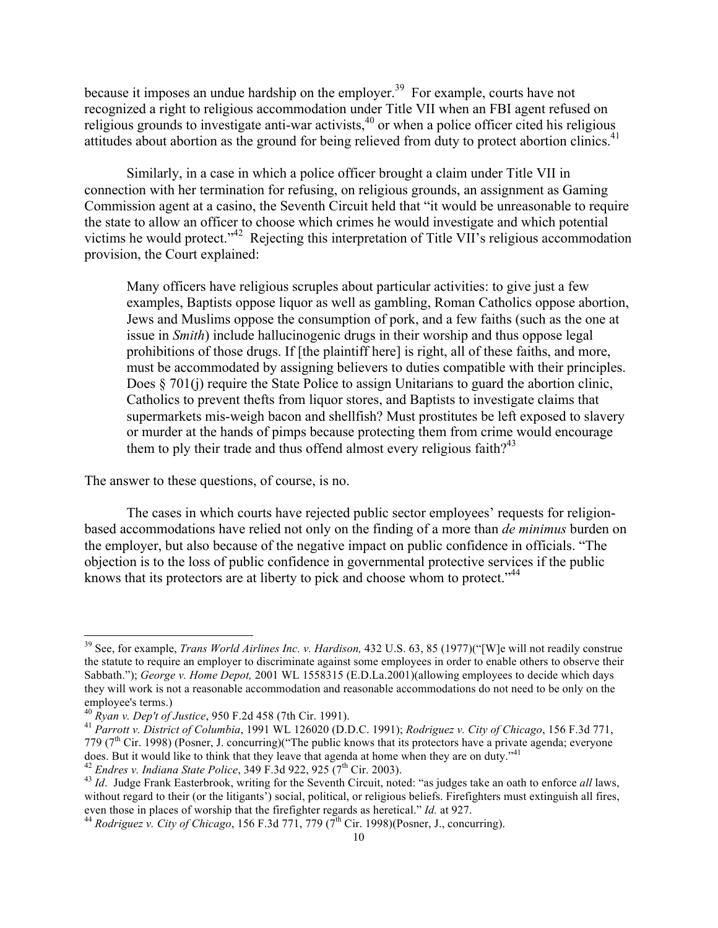because it imposes an undue hardship on the employer.<sup>39</sup> For example, courts have not recognized a right to religious accommodation under Title VII when an FBI agent refused on religious grounds to investigate anti-war activists,<sup>40</sup> or when a police officer cited his religious attitudes about abortion as the ground for being relieved from duty to protect abortion clinics.<sup>41</sup>

Similarly, in a case in which a police officer brought a claim under Title VII in connection with her termination for refusing, on religious grounds, an assignment as Gaming Commission agent at a casino, the Seventh Circuit held that "it would be unreasonable to require the state to allow an officer to choose which crimes he would investigate and which potential victims he would protect."<sup>42</sup> Rejecting this interpretation of Title VII's religious accommodation provision, the Court explained:

Many officers have religious scruples about particular activities: to give just a few examples, Baptists oppose liquor as well as gambling, Roman Catholics oppose abortion, Jews and Muslims oppose the consumption of pork, and a few faiths (such as the one at issue in *Smith*) include hallucinogenic drugs in their worship and thus oppose legal prohibitions of those drugs. If [the plaintiff here] is right, all of these faiths, and more, must be accommodated by assigning believers to duties compatible with their principles. Does  $\S 701(i)$  require the State Police to assign Unitarians to guard the abortion clinic, Catholics to prevent thefts from liquor stores, and Baptists to investigate claims that supermarkets mis-weigh bacon and shellfish? Must prostitutes be left exposed to slavery or murder at the hands of pimps because protecting them from crime would encourage them to ply their trade and thus offend almost every religious faith?<sup>43</sup>

The answer to these questions, of course, is no.

The cases in which courts have rejected public sector employees' requests for religionbased accommodations have relied not only on the finding of a more than *de minimus* burden on the employer, but also because of the negative impact on public confidence in officials. "The objection is to the loss of public confidence in governmental protective services if the public knows that its protectors are at liberty to pick and choose whom to protect."<sup>44</sup>

 <sup>39</sup> See, for example, *Trans World Airlines Inc. v. Hardison,* 432 U.S. 63, 85 (1977)("[W]e will not readily construe the statute to require an employer to discriminate against some employees in order to enable others to observe their Sabbath."); *George v. Home Depot,* 2001 WL 1558315 (E.D.La.2001)(allowing employees to decide which days they will work is not a reasonable accommodation and reasonable accommodations do not need to be only on the employee's terms.)<br><sup>40</sup> *Ryan v. Dep't of Justice*, 950 F.2d 458 (7th Cir. 1991).

employee's terms.) <sup>40</sup> *Ryan v. Dep't of Justice*, 950 F.2d 458 (7th Cir. 1991). <sup>41</sup> *Parrott v. District of Columbia*, 1991 WL 126020 (D.D.C. 1991); *Rodriguez v. City of Chicago*, 156 F.3d 771, 779 (7<sup>th</sup> Cir. 1998) (Posner, J. concurring)("The public knows that its protectors have a private agenda; everyone does. But it would like to think that they leave that agenda at home when they are on duty."<sup>41</sup><br><sup>42</sup> Endres v. Indiana State Police, 349 F.3d 922, 925 (7<sup>th</sup> Cir. 2003).

<sup>&</sup>lt;sup>43</sup> *Id.* Judge Frank Easterbrook, writing for the Seventh Circuit, noted: "as judges take an oath to enforce *all* laws, without regard to their (or the litigants') social, political, or religious beliefs. Firefighters must extinguish all fires, even those in places of worship that the firefighter regards as heretical." *Id.* at 927. <sup>44</sup> *Rodriguez v. City of Chicago*, 156 F.3d 771, 779 (7<sup>th</sup> Cir. 1998)(Posner, J., concurring).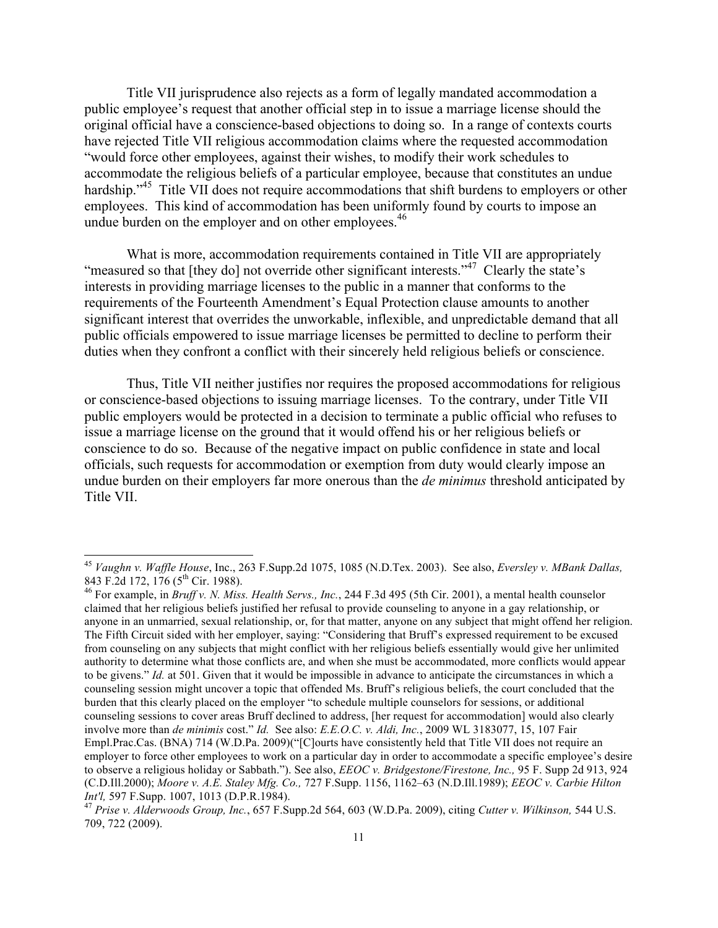Title VII jurisprudence also rejects as a form of legally mandated accommodation a public employee's request that another official step in to issue a marriage license should the original official have a conscience-based objections to doing so. In a range of contexts courts have rejected Title VII religious accommodation claims where the requested accommodation "would force other employees, against their wishes, to modify their work schedules to accommodate the religious beliefs of a particular employee, because that constitutes an undue hardship."<sup>45</sup> Title VII does not require accommodations that shift burdens to employers or other employees. This kind of accommodation has been uniformly found by courts to impose an undue burden on the employer and on other employees.<sup>46</sup>

What is more, accommodation requirements contained in Title VII are appropriately "measured so that [they do] not override other significant interests."<sup>47</sup> Clearly the state's interests in providing marriage licenses to the public in a manner that conforms to the requirements of the Fourteenth Amendment's Equal Protection clause amounts to another significant interest that overrides the unworkable, inflexible, and unpredictable demand that all public officials empowered to issue marriage licenses be permitted to decline to perform their duties when they confront a conflict with their sincerely held religious beliefs or conscience.

Thus, Title VII neither justifies nor requires the proposed accommodations for religious or conscience-based objections to issuing marriage licenses. To the contrary, under Title VII public employers would be protected in a decision to terminate a public official who refuses to issue a marriage license on the ground that it would offend his or her religious beliefs or conscience to do so. Because of the negative impact on public confidence in state and local officials, such requests for accommodation or exemption from duty would clearly impose an undue burden on their employers far more onerous than the *de minimus* threshold anticipated by Title VII.

<sup>46</sup> For example, in *Bruff v. N. Miss. Health Servs., Inc.*, 244 F.3d 495 (5th Cir. 2001), a mental health counselor claimed that her religious beliefs justified her refusal to provide counseling to anyone in a gay relationship, or anyone in an unmarried, sexual relationship, or, for that matter, anyone on any subject that might offend her religion. The Fifth Circuit sided with her employer, saying: "Considering that Bruff's expressed requirement to be excused from counseling on any subjects that might conflict with her religious beliefs essentially would give her unlimited authority to determine what those conflicts are, and when she must be accommodated, more conflicts would appear to be givens." *Id.* at 501. Given that it would be impossible in advance to anticipate the circumstances in which a counseling session might uncover a topic that offended Ms. Bruff's religious beliefs, the court concluded that the burden that this clearly placed on the employer "to schedule multiple counselors for sessions, or additional counseling sessions to cover areas Bruff declined to address, [her request for accommodation] would also clearly involve more than *de minimis* cost." *Id.* See also: *E.E.O.C. v. Aldi, Inc.*, 2009 WL 3183077, 15, 107 Fair Empl.Prac.Cas. (BNA) 714 (W.D.Pa. 2009)("[C]ourts have consistently held that Title VII does not require an employer to force other employees to work on a particular day in order to accommodate a specific employee's desire to observe a religious holiday or Sabbath."). See also, *EEOC v. Bridgestone/Firestone, Inc.,* 95 F. Supp 2d 913, 924 (C.D.Ill.2000); *Moore v. A.E. Staley Mfg. Co.,* 727 F.Supp. 1156, 1162–63 (N.D.Ill.1989); *EEOC v. Carbie Hilton Int'l,* 597 F.Supp. 1007, 1013 (D.P.R.1984). <sup>47</sup> *Prise v. Alderwoods Group, Inc.*, 657 F.Supp.2d 564, 603 (W.D.Pa. 2009), citing *Cutter v. Wilkinson,* 544 U.S.

 <sup>45</sup> *Vaughn v. Waffle House*, Inc., 263 F.Supp.2d 1075, 1085 (N.D.Tex. 2003). See also, *Eversley v. MBank Dallas,* 

<sup>709, 722 (2009).</sup>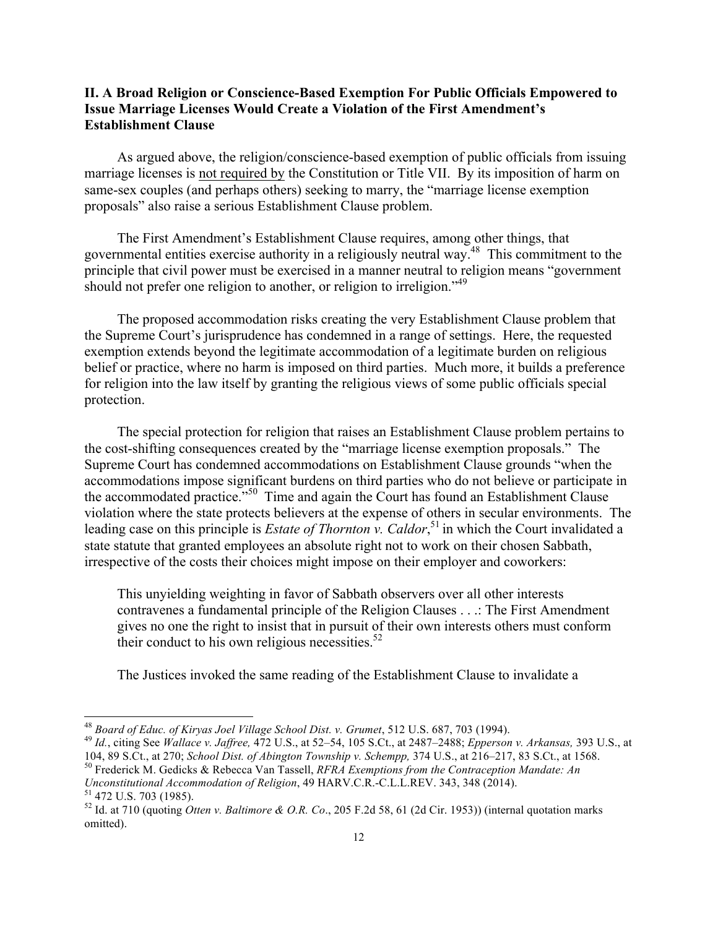### **II. A Broad Religion or Conscience-Based Exemption For Public Officials Empowered to Issue Marriage Licenses Would Create a Violation of the First Amendment's Establishment Clause**

As argued above, the religion/conscience-based exemption of public officials from issuing marriage licenses is not required by the Constitution or Title VII. By its imposition of harm on same-sex couples (and perhaps others) seeking to marry, the "marriage license exemption proposals" also raise a serious Establishment Clause problem.

The First Amendment's Establishment Clause requires, among other things, that governmental entities exercise authority in a religiously neutral way.48 This commitment to the principle that civil power must be exercised in a manner neutral to religion means "government should not prefer one religion to another, or religion to irreligion."<sup>49</sup>

The proposed accommodation risks creating the very Establishment Clause problem that the Supreme Court's jurisprudence has condemned in a range of settings. Here, the requested exemption extends beyond the legitimate accommodation of a legitimate burden on religious belief or practice, where no harm is imposed on third parties. Much more, it builds a preference for religion into the law itself by granting the religious views of some public officials special protection.

The special protection for religion that raises an Establishment Clause problem pertains to the cost-shifting consequences created by the "marriage license exemption proposals." The Supreme Court has condemned accommodations on Establishment Clause grounds "when the accommodations impose significant burdens on third parties who do not believe or participate in the accommodated practice."<sup>50</sup> Time and again the Court has found an Establishment Clause violation where the state protects believers at the expense of others in secular environments. The leading case on this principle is *Estate of Thornton v. Caldor*,<sup>51</sup> in which the Court invalidated a state statute that granted employees an absolute right not to work on their chosen Sabbath, irrespective of the costs their choices might impose on their employer and coworkers:

This unyielding weighting in favor of Sabbath observers over all other interests contravenes a fundamental principle of the Religion Clauses . . .: The First Amendment gives no one the right to insist that in pursuit of their own interests others must conform their conduct to his own religious necessities. $52$ 

The Justices invoked the same reading of the Establishment Clause to invalidate a

<sup>&</sup>lt;sup>48</sup> Board of Educ. of Kiryas Joel Village School Dist. v. Grumet, 512 U.S. 687, 703 (1994).<br><sup>49</sup> Id., citing See Wallace v. Jaffree, 472 U.S., at 52–54, 105 S.Ct., at 2487–2488; Epperson v. Arkansas, 393 U.S., at<br>104, 89

<sup>&</sup>lt;sup>50</sup> Frederick M. Gedicks & Rebecca Van Tassell, *RFRA Exemptions from the Contraception Mandate: An* Unconstitutional Accommodation of Religion, 49 HARV.C.R.-C.L.L.REV. 343, 348 (2014).<br><sup>51</sup> 472 U.S. 703 (1985).<br><sup>52</sup> Id. at 710 (quoting *Otten v. Baltimore & O.R. Co.*, 205 F.2d 58, 61 (2d Cir. 1953)) (internal quotation

omitted).